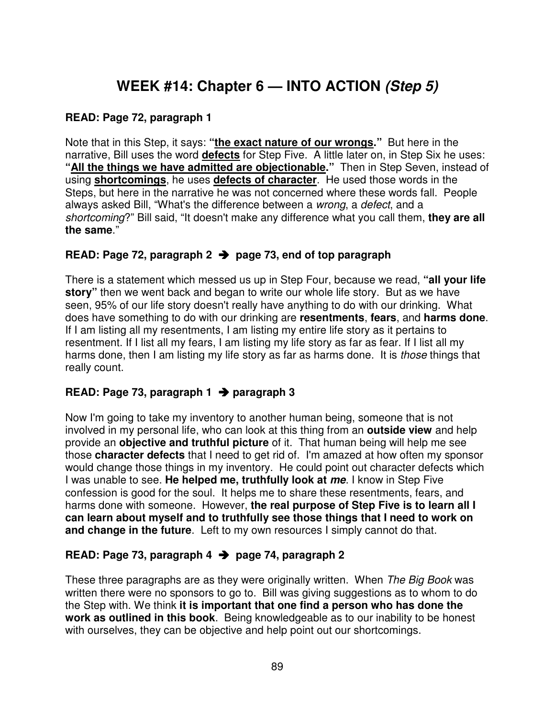# **WEEK #14: Chapter 6 — INTO ACTION (Step 5)**

#### **READ: Page 72, paragraph 1**

Note that in this Step, it says: **"the exact nature of our wrongs."** But here in the narrative, Bill uses the word **defects** for Step Five. A little later on, in Step Six he uses: **"All the things we have admitted are objectionable."** Then in Step Seven, instead of using **shortcomings**, he uses **defects of character**. He used those words in the Steps, but here in the narrative he was not concerned where these words fall. People always asked Bill, "What's the difference between a wrong, a defect, and a shortcoming?" Bill said, "It doesn't make any difference what you call them, **they are all the same**."

#### **READ: Page 72, paragraph 2 page 73, end of top paragraph**

There is a statement which messed us up in Step Four, because we read, **"all your life story"** then we went back and began to write our whole life story. But as we have seen, 95% of our life story doesn't really have anything to do with our drinking. What does have something to do with our drinking are **resentments**, **fears**, and **harms done**. If I am listing all my resentments, I am listing my entire life story as it pertains to resentment. If I list all my fears, I am listing my life story as far as fear. If I list all my harms done, then I am listing my life story as far as harms done. It is *those* things that really count.

## **READ: Page 73, paragraph 1 paragraph 3**

Now I'm going to take my inventory to another human being, someone that is not involved in my personal life, who can look at this thing from an **outside view** and help provide an **objective and truthful picture** of it. That human being will help me see those **character defects** that I need to get rid of. I'm amazed at how often my sponsor would change those things in my inventory. He could point out character defects which I was unable to see. **He helped me, truthfully look at me**. I know in Step Five confession is good for the soul. It helps me to share these resentments, fears, and harms done with someone. However, **the real purpose of Step Five is to learn all I can learn about myself and to truthfully see those things that I need to work on and change in the future**. Left to my own resources I simply cannot do that.

## **READ: Page 73, paragraph 4 page 74, paragraph 2**

These three paragraphs are as they were originally written. When The Big Book was written there were no sponsors to go to. Bill was giving suggestions as to whom to do the Step with. We think **it is important that one find a person who has done the work as outlined in this book**. Being knowledgeable as to our inability to be honest with ourselves, they can be objective and help point out our shortcomings.